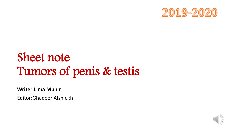

# Sheet note Tumors of penis & testis

**Writer:Lima Munir**

Editor:Ghadeer Alshiekh

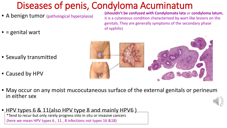#### Diseases of penis, Condyloma Acuminatum

- A benign tumor (pathological hyperplasia)
- $\bullet$  = genital wart

**(shouldn't be confused with Condylomata lata** or **condyloma latum**, it is a cutaneous condition characterized by wart-like lesions on the genitals. They are generally symptoms of the secondary phase of syphilis)



- Sexually transmitted
- Caused by HPV
- May occur on any moist mucocutaneous surface of the external genitals or perineum in either sex
- HPV types 6 & 11(also HPV type 8 and mainly HPV6) \*Tend to recur but only rarely progress into in situ or invasive cancers (here we mean HPV types 6 , 11 , 8 infections not types 16 &18)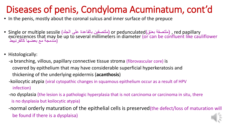#### Diseases of penis, Condyloma Acuminatum, cont'd

- In the penis, mostly about the coronal sulcus and inner surface of the prepuce
- Single or multiple sessile (ملتصقين بالقاعدة على الجلد) or pedunculated(ملتصقة بعنق) , red papillary<br>excrescences that may be up to several millimeters in diameter (or can be confluent like cauliflower<br>مندمجة مع بعضها ك
- Histologically:
	- -a branching, villous, papillary connective tissue stroma (fibrovascular core) is covered by epithelium that may have considerable superficial hyperkeratosis and thickening of the underlying epidermis (**acanthosis**)
	- -koilocytic atypia (viral cytopathic changes in squamous epithelium occur as a result of HPV infection)
	- -no dysplasia (the lesion is a pathologic hyperplasia that is not carcinoma or carcinoma in situ, there is no dysplasia but koilocytic atypia)
	- -normal orderly maturation of the epithelial cells is preserved(the defect/loss of maturation will be found if there is a dysplaisa)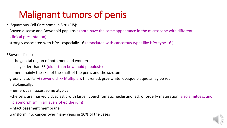### Malignant tumors of penis

• Squamous Cell Carcinoma in Situ (CIS):

…Bowen disease and Bowenoid papulosis (both have the same appearance in the microscope with different clinical presentation)

…strongly associated with HPV…especially 16 (associated with cancerous types like HPV type 16 )

\*Bowen disease:

- …in the genital region of both men and women
- …usually older than 35 (older than bowenoid papulosis)

…in men: mainly the skin of the shaft of the penis and the scrotum

…grossly: a solitary(Bowenoid >> Multiple ), thickened, gray-white, opaque plaque…may be red …histologically:

-numerous mitoses, some atypical

-the cells are markedly dysplastic with large hyperchromatic nuclei and lack of orderly maturation (also a mitosis, and pleomorphism in all layers of epithelium)

-intact basement membrane

…transform into cancer over many years in 10% of the cases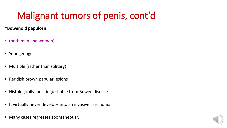## Malignant tumors of penis, cont'd

#### **\*Bowenoid papulosis**

- (both men and women)
- Younger age
- Multiple (rather than solitary)
- Reddish brown papular lesions
- Histologically indistinguishable from Bowen disease
- It virtually never develops into an invasive carcinoma
- Many cases regresses spontaneously

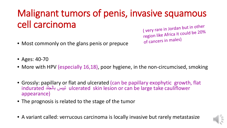## Malignant tumors of penis, invasive squamous cell carcinoma

• Most commonly on the glans penis or prepuce

(very rare in Jordan but in other region like Africa it could be 20% of cancers in males)

- Ages: 40-70
- More with HPV (especially 16,18), poor hygiene, in the non-circumcised, smoking
- Grossly: papillary or flat and ulcerated (can be papillary exophytic growth, flat indurated بالجلد تیبس ulcerated skin lesion or can be large take cauliflower appearance)
- The prognosis is related to the stage of the tumor
- A variant called: verrucous carcinoma is locally invasive but rarely metastasize

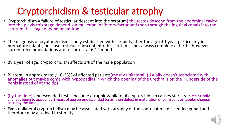### Cryptorchidism & testicular atrophy

- Cryptorchidism = failure of testicular descent into the scrotum( the testes descend from the abdominal cavity<br>into the plevis this stage depend on mullerian inhibitory factor and then through the inguinal canals into the scrotum this stage depend on androg)
- The diagnosis of cryptorchidism is only established with certainty after the age of 1 year, particularly in premature infants, because testicular descent into the scrotum is not always complete at birth…However, current recommendations are to correct at 6-12 months
- By 1 year of age, cryptorchidism affects 1% of the male population
- Bilateral in approximately 10-25% of affected patients(mostly unilateral) (Usually doesn't associated with <br>anomalies but maybe come with hypospadias in which the opening of the urethra is on the underside of the penis instead of at the tip)
- (by the time) Undescended testes become atrophic & bilateral cryptorchidism causes sterility (histologically changes begin to appear by 2 years of age on undescended testis, then defect in maturation of germ cells or tubular changes occur by the time )
- Even unilateral cryptorchidism may be associated with atrophy of the contralateral descended gonad and therefore may also lead to sterility

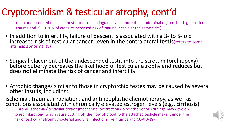#### Cryptorchidism & testicular atrophy, cont'd

(– an undescended testicle : most often seen in inguinal canal more than abdominal region: 1)at higher risk of trauma and 2) 10-20% of cases at increased risk of inguinal hernia at the same side.)

- In addition to infertility, failure of descent is associated with a 3- to 5-fold increased risk of testicular cancer...even in the contralateral testis(refers to some intrinsic abnormality)
- Surgical placement of the undescended testis into the scrotum (orchiopexy) before puberty decreases the likelihood of testicular atrophy and reduces but does not eliminate the risk of cancer and infertility
- Atrophic changes similar to those in cryptorchid testes may be caused by several other insults, including:

ischemia , trauma, irradiation, and antineoplastic chemotherapy, as well as conditions associated with chronically elevated estrogen levels (e.g., cirrhosis) (Chronic ischemia / testicular torsion)mechanical obstraction ( block the venous drainge may develop to red infarction( which cause cutting off the flow of blood to the attached testicle make it under the risk of testicular atrophy /bacterial and viral infections like mumps and COVID-19)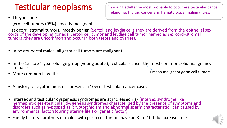#### Testicular neoplasms

#### • They include

…germ cell tumors (95%)…mostly malignant

…sex cord–stromal tumors…mostly benign (Sertoli and leydig cells they are derived from the epithelial sex<br>cords of the developing gonads. Sertoli cell tumor and leydige cell tumor named as sex cord–stromal tumors ,they are uncommon and occur in both testes and ovaries).

- In postpubertal males, all germ cell tumors are malignant
- In the 15- to 34-year-old age group (young adults), <u>testicular cancer</u> the most common solid malignancy in males
- More common in whites

… I mean malignant germ cell tumors

- A history of cryptorchidism is present in 10% of testicular cancer cases
- Intersex and testicular dysgenesis syndromes are at increased risk (intersex syndrome like<br>hermaphrodites)(testicular dysgenesis syndromes characterized by the presence of symptoms and<br>disorders such as hypospadias, cryp environmental factors(during uterine life) or genetic factor)
- Family history…brothers of males with germ cell tumors have an 8- to 10-fold increased risk



(In young adults the most probably to occur are testicular cancer, melanoma, thyroid cancer and hematological malignancies.)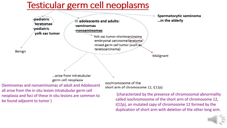#### Testicular germ cell neoplasms



i(12p), an mutated capy of chromosome 12 formed by the duplication of short arm with deletion of the other long arm.

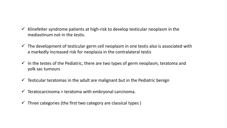- $\checkmark$  Klinefelter syndrome patients at high-risk to develop testicular neoplasm in the mediastinum not in the testis.
- $\checkmark$  The development of testicular germ cell neoplasm in one testis also is associated with a markedly increased risk for neoplasia in the contralateral testis
- $\checkmark$  In the testes of the Pediatric, there are two types of germ neoplasm, teratoma and yolk sac tumours
- $\checkmark$  Testicular teratomas in the adult are malignant but in the Pediatric benign
- $\checkmark$  Teratocarcinoma > teratoma with embryonal carcinoma.
- $\checkmark$  Three categories (the first two category are classical types)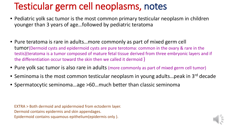#### Testicular germ cell neoplasms, notes

- Pediatric yolk sac tumor is the most common primary testicular neoplasm in children younger than 3 years of age…followed by pediatric teratoma
- Pure teratoma is rare in adults…more commonly as part of mixed germ cell tumor(Dermoid cysts and epidermoid cysts are pure terotoma: common in the ovary & rare in the testis)(teratoma is a tumor composed of mature fetal tissue derived from three embryonic layers and if the differentiation occur toward the skin then we called it dermoid )
- Pure yolk sac tumor is also rare in adults (more commonly as part of mixed germ cell tumor)
- Seminoma is the most common testicular neoplasm in young adults... peak in 3<sup>rd</sup> decade
- Spermatocytic seminoma…age >60…much better than classic seminoma

EXTRA > Both dermoid and apidermoied from ectoderm layer. Dermoid contains epidermis and skin appendages. Epidermoid contains squamous epithelium(epidermis only ).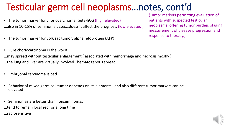#### Testicular germ cell neoplasms…notes, cont'd

- The tumor marker for choriocarcinoma: beta-hCG (high elevated) …also in 10-15% of seminoma cases…doesn't affect the prognosis (low elevated )
- The tumor marker for yolk sac tumor: alpha fetoprotein (AFP)
- Pure choriocarcinoma is the worst
- …may spread without testicular enlargement ( associated with hemorrhage and necrosis mostly ) …the lung and liver are virtually involved…hematogenous spread
- Embryonal carcinoma is bad
- Behavior of mixed germ cell tumor depends on its elements…and also different tumor markers can be elevated
- Seminomas are better than nonseminomas
- …tend to remain localized for a long time
- …radiosensitive

(Tumor markers permitting evaluation of patients with suspected testicular neoplasms, offering tumor burden, staging, measurement of disease progression and response to therapy.)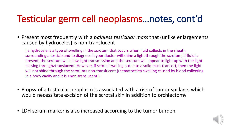### Testicular germ cell neoplasms…notes, cont'd

• Present most frequently with a *painless testicular mass* that (unlike enlargements caused by hydroceles) is non-translucent

( a hydrocele is a type of swelling in the scrotum that occurs when fluid collects in the sheath surrounding a testicle and to diagnose it your doctor will shine a light through the scrotum, If fluid is present, the scrotum will allow light transmission and the scrotum will appear to light up with the light passing through>translucent. However, if scrotal swelling is due to a solid mass (cancer), then the light will not shine through the scrotum> non-translucent.)(hematocelea swelling caused by blood collecting in a body cavity and it is >non-translucent.)

- Biopsy of a testicular neoplasm is associated with a risk of tumor spillage, which would necessitate excision of the scrotal skin in addition to orchiectomy
- LDH serum marker is also increased according to the tumor burden

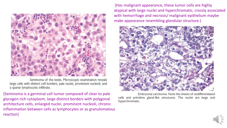

Seminoma of the testis. Microscopic examination reveals large cells with distinct cell borders, pale nuclei, prominent nucleoli, and a sparse lymphocytic infiltrate.

(Seminoma is a germinal cell tumor composed of clear to pale glycogen-rich cytoplasm, large distinct borders with polygonal architecture cells, enlarged nuclei, prominent nucleoli, chronic inflammation between cells as lymphocytes or as granulomatous reaction)

(Has malignant appearance, these tumor cells are highly atypical with large nuclei and hyperchromatic, crossly associated with hemorrhage and necrosis/ malignant epithelium maybe make appearance resembling glandular structure.)



Embryonal carcinoma. Note the sheets of undifferentiated cells and primitive gland-like structures. The nuclei are large and hyperchromatic.

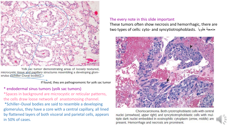

Yolk sac tumor demonstrating areas of loosely textured, microcystic tissue and papillary structures resembling a developing glomerulus (Schiller-Duval bodies).

If found, they are pathognomonic for yolk sac tumor

\* endodermal sinus tumors (yolk sac tumors) \*Spaces in background are microcystic or reticular patterns, the cells draw loose network of anastomosing channel. \*Schiller–Duval bodies are said to resemble a developing glomerulus, they have a core with a central capillary, all lined by flattened layers of both visceral and parietal cells, appears in 50% of cases.

#### The every note in this slide important

These tumors often show necrosis and hemorrhagic, there are two types of cells: cyto- and syncytiotrophoblasts. خلویا مدمجة



Choriocarcinoma. Both cytotrophoblastic cells with central nuclei (arrowhead, upper right) and syncytiotrophoblastic cells with multiple dark nuclei embedded in eosinophilic cytoplasm (arrow, middle) are present. Hemorrhage and necrosis are prominent.